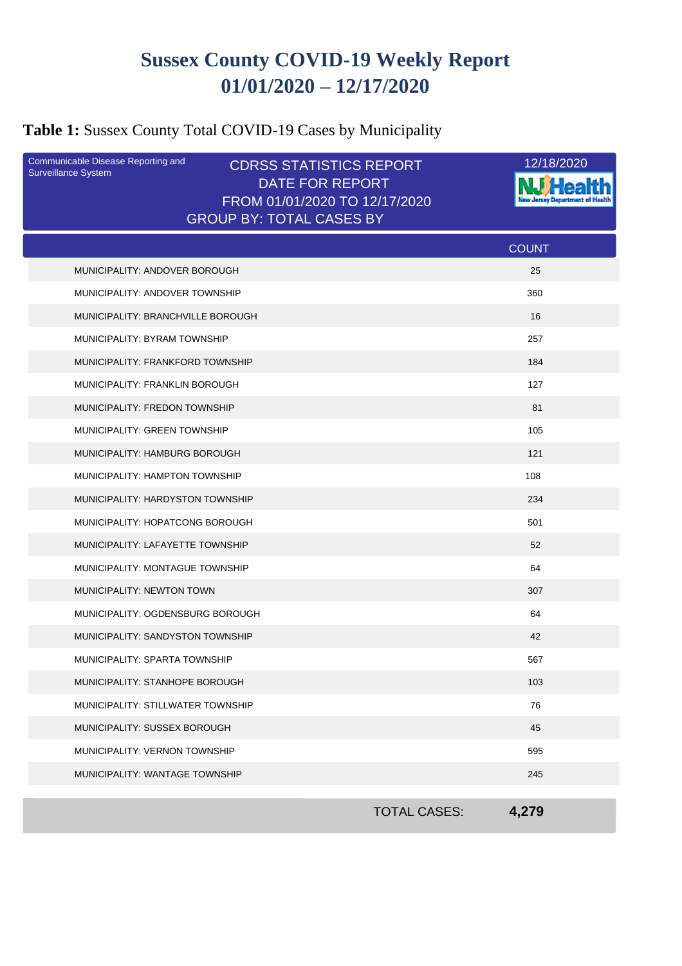## **Sussex County COVID-19 Weekly Report 01/01/2020 – 12/17/2020**

## **Table 1:** Sussex County Total COVID-19 Cases by Municipality

| Communicable Disease Reporting and<br><b>Surveillance System</b> | <b>CDRSS STATISTICS REPORT</b>                          |                     | 12/18/2020   |
|------------------------------------------------------------------|---------------------------------------------------------|---------------------|--------------|
|                                                                  | <b>DATE FOR REPORT</b><br>FROM 01/01/2020 TO 12/17/2020 |                     |              |
|                                                                  | <b>GROUP BY: TOTAL CASES BY</b>                         |                     |              |
|                                                                  |                                                         |                     | <b>COUNT</b> |
| MUNICIPALITY: ANDOVER BOROUGH                                    |                                                         |                     | 25           |
| MUNICIPALITY: ANDOVER TOWNSHIP                                   |                                                         |                     | 360          |
| MUNICIPALITY: BRANCHVILLE BOROUGH                                |                                                         |                     | 16           |
| MUNICIPALITY: BYRAM TOWNSHIP                                     |                                                         |                     | 257          |
| MUNICIPALITY: FRANKFORD TOWNSHIP                                 |                                                         |                     | 184          |
| MUNICIPALITY: FRANKLIN BOROUGH                                   |                                                         |                     | 127          |
| MUNICIPALITY: FREDON TOWNSHIP                                    |                                                         |                     | 81           |
| MUNICIPALITY: GREEN TOWNSHIP                                     |                                                         |                     | 105          |
| MUNICIPALITY: HAMBURG BOROUGH                                    |                                                         |                     | 121          |
| MUNICIPALITY: HAMPTON TOWNSHIP                                   |                                                         |                     | 108          |
| MUNICIPALITY: HARDYSTON TOWNSHIP                                 |                                                         |                     | 234          |
| MUNICIPALITY: HOPATCONG BOROUGH                                  |                                                         |                     | 501          |
| MUNICIPALITY: LAFAYETTE TOWNSHIP                                 |                                                         |                     | 52           |
| MUNICIPALITY: MONTAGUE TOWNSHIP                                  |                                                         |                     | 64           |
| MUNICIPALITY: NEWTON TOWN                                        |                                                         |                     | 307          |
| MUNICIPALITY: OGDENSBURG BOROUGH                                 |                                                         |                     | 64           |
| MUNICIPALITY: SANDYSTON TOWNSHIP                                 |                                                         |                     | 42           |
| MUNICIPALITY: SPARTA TOWNSHIP                                    |                                                         |                     | 567          |
| MUNICIPALITY: STANHOPE BOROUGH                                   |                                                         |                     | 103          |
| MUNICIPALITY: STILLWATER TOWNSHIP                                |                                                         |                     | 76           |
| MUNICIPALITY: SUSSEX BOROUGH                                     |                                                         |                     | 45           |
| MUNICIPALITY: VERNON TOWNSHIP                                    |                                                         |                     | 595          |
| <b>MUNICIPALITY: WANTAGE TOWNSHIP</b>                            |                                                         |                     | 245          |
|                                                                  |                                                         |                     |              |
|                                                                  |                                                         | <b>TOTAL CASES:</b> | 4,279        |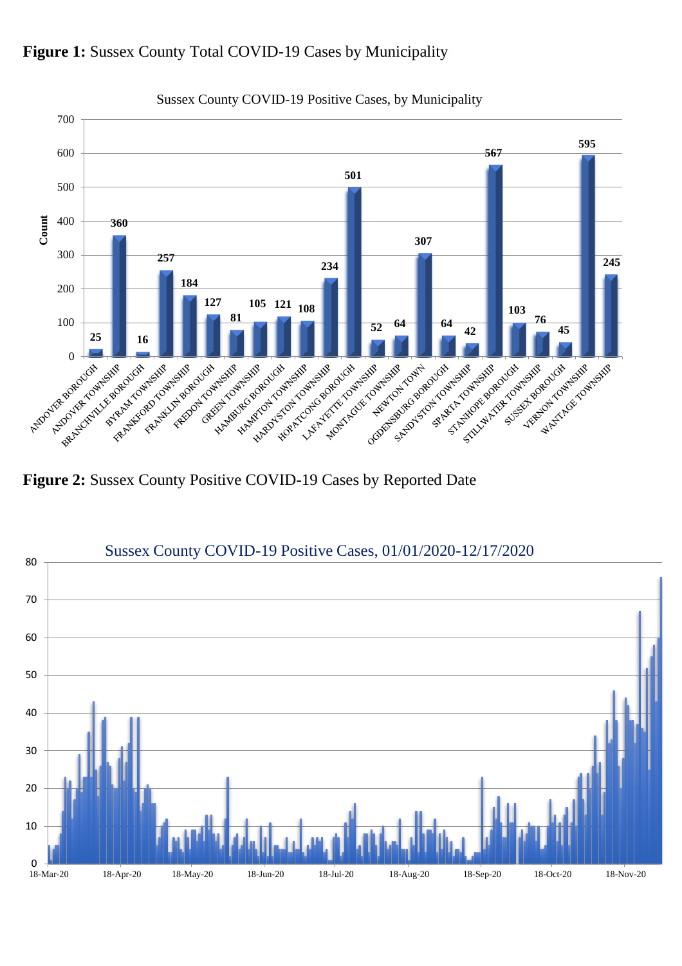



**Figure 2:** Sussex County Positive COVID-19 Cases by Reported Date



Sussex County COVID-19 Positive Cases, by Municipality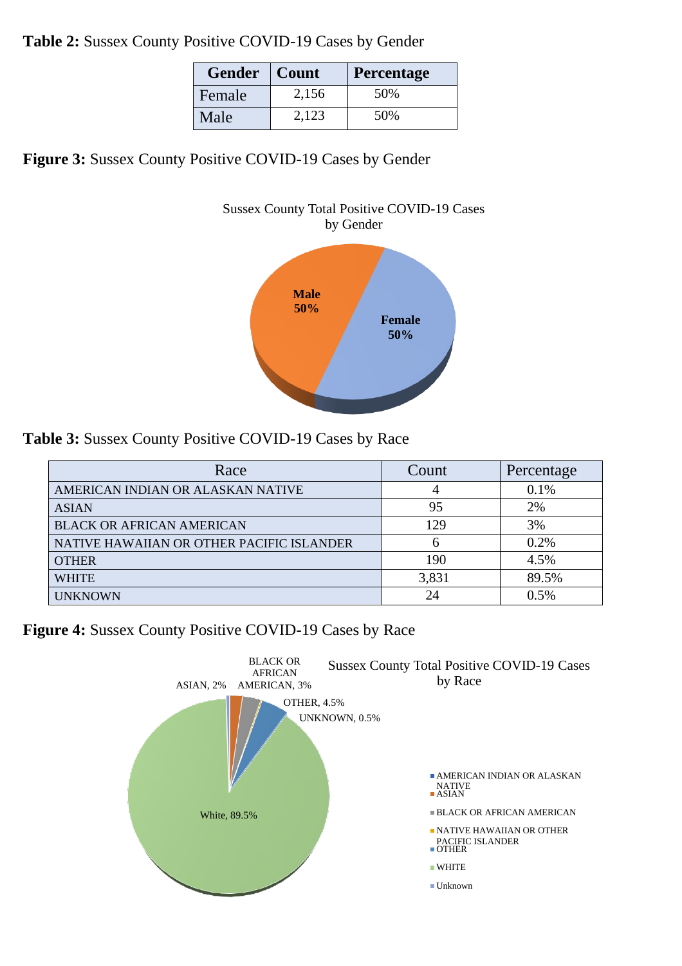**Table 2:** Sussex County Positive COVID-19 Cases by Gender

| <b>Gender</b> | Count | <b>Percentage</b> |
|---------------|-------|-------------------|
| Female        | 2,156 | 50%               |
| Male          | 2.123 | 50%               |

**Figure 3:** Sussex County Positive COVID-19 Cases by Gender





**Table 3:** Sussex County Positive COVID-19 Cases by Race

| Race                                      | Count | Percentage |
|-------------------------------------------|-------|------------|
| AMERICAN INDIAN OR ALASKAN NATIVE         |       | 0.1%       |
| <b>ASIAN</b>                              | 95    | 2%         |
| <b>BLACK OR AFRICAN AMERICAN</b>          | 129   | 3%         |
| NATIVE HAWAIIAN OR OTHER PACIFIC ISLANDER | h     | 0.2%       |
| <b>OTHER</b>                              | 190   | 4.5%       |
| <b>WHITE</b>                              | 3,831 | 89.5%      |
| <b>UNKNOWN</b>                            | 24    | 0.5%       |

**Figure 4:** Sussex County Positive COVID-19 Cases by Race

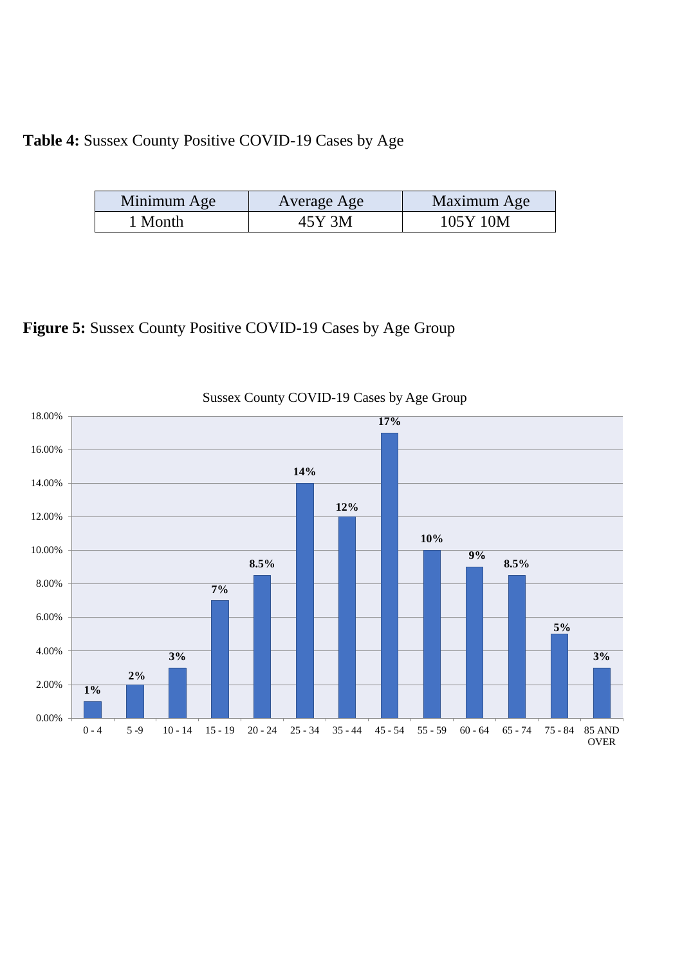### **Table 4:** Sussex County Positive COVID-19 Cases by Age

| Minimum Age | Average Age | Maximum Age |
|-------------|-------------|-------------|
| Month       | 45Y 3M      | 105Y 10M    |

## **Figure 5:** Sussex County Positive COVID-19 Cases by Age Group

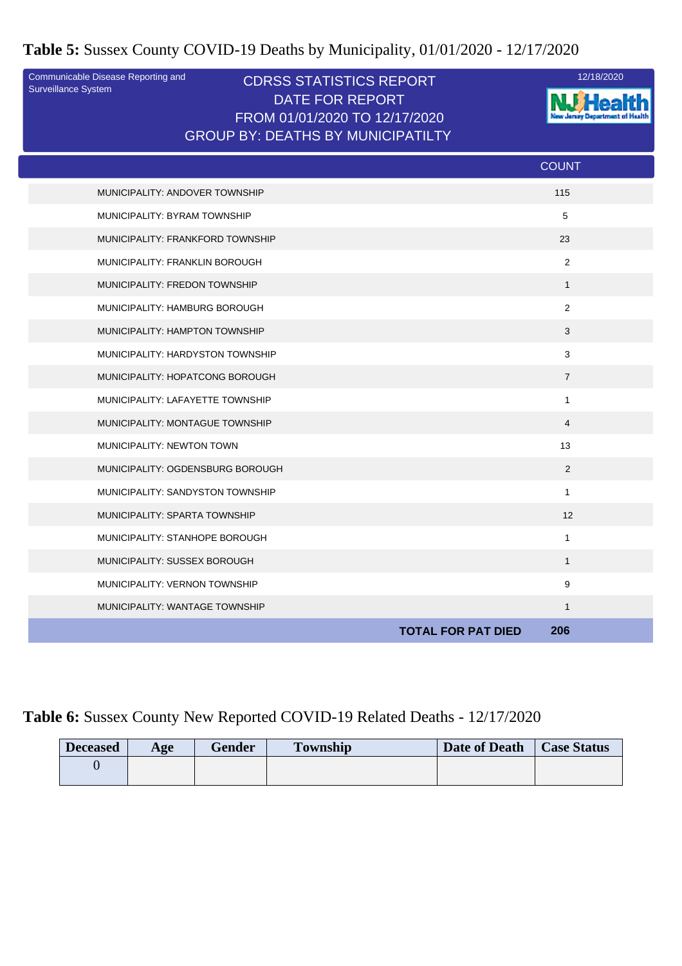#### **Table 5:** Sussex County COVID-19 Deaths by Municipality, 01/01/2020 - 12/17/2020

Surveillance System

#### Communicable Disease Reporting and **CDRSS STATISTICS REPORT** 12/18/2020<br>Surveillance System DATE FOR REPORT FROM 01/01/2020 TO 12/17/2020 GROUP BY: DEATHS BY MUNICIPATILTY



|                                  | <b>COUNT</b>   |
|----------------------------------|----------------|
| MUNICIPALITY: ANDOVER TOWNSHIP   | 115            |
| MUNICIPALITY: BYRAM TOWNSHIP     | 5              |
| MUNICIPALITY: FRANKFORD TOWNSHIP | 23             |
| MUNICIPALITY: FRANKLIN BOROUGH   | $\overline{2}$ |
| MUNICIPALITY: FREDON TOWNSHIP    | $\mathbf{1}$   |
| MUNICIPALITY: HAMBURG BOROUGH    | $\overline{2}$ |
| MUNICIPALITY: HAMPTON TOWNSHIP   | 3              |
| MUNICIPALITY: HARDYSTON TOWNSHIP | 3              |
| MUNICIPALITY: HOPATCONG BOROUGH  | $\overline{7}$ |
| MUNICIPALITY: LAFAYETTE TOWNSHIP | $\mathbf{1}$   |
| MUNICIPALITY: MONTAGUE TOWNSHIP  | $\overline{4}$ |
| MUNICIPALITY: NEWTON TOWN        | 13             |
| MUNICIPALITY: OGDENSBURG BOROUGH | 2              |
| MUNICIPALITY: SANDYSTON TOWNSHIP | $\mathbf{1}$   |
| MUNICIPALITY: SPARTA TOWNSHIP    | 12             |
| MUNICIPALITY: STANHOPE BOROUGH   | $\mathbf{1}$   |
| MUNICIPALITY: SUSSEX BOROUGH     | $\mathbf{1}$   |
| MUNICIPALITY: VERNON TOWNSHIP    | 9              |
| MUNICIPALITY: WANTAGE TOWNSHIP   | $\mathbf{1}$   |
| <b>TOTAL FOR PAT DIED</b>        | 206            |

#### **Table 6:** Sussex County New Reported COVID-19 Related Deaths - 12/17/2020

| <b>Deceased</b> | Age | <b>Gender</b> | <b>Township</b> | Date of Death | <b>Case Status</b> |
|-----------------|-----|---------------|-----------------|---------------|--------------------|
|                 |     |               |                 |               |                    |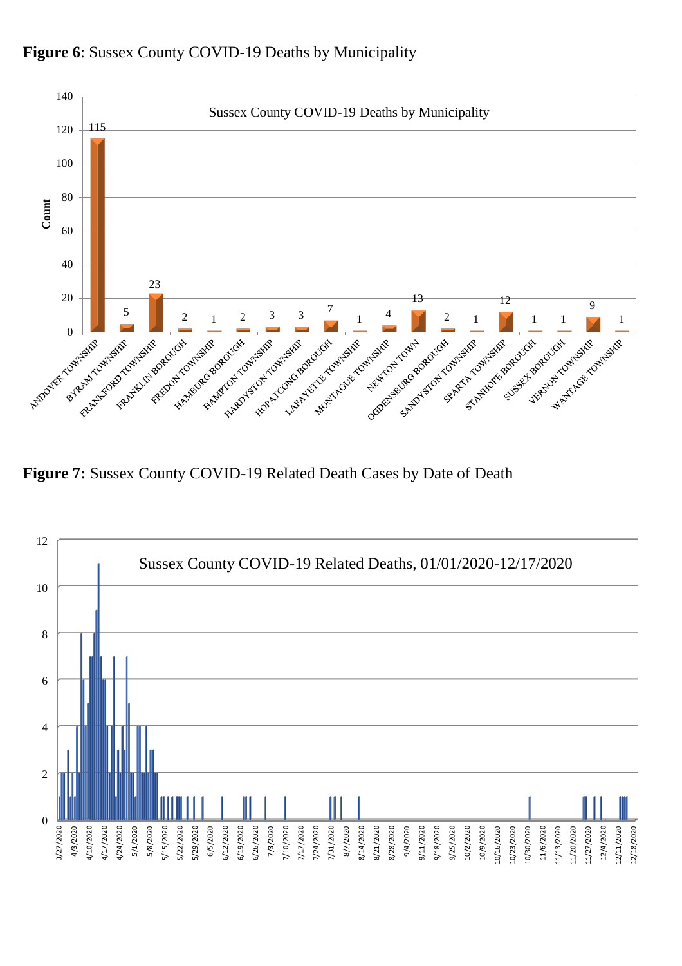

**Figure 6**: Sussex County COVID-19 Deaths by Municipality

**Figure 7:** Sussex County COVID-19 Related Death Cases by Date of Death

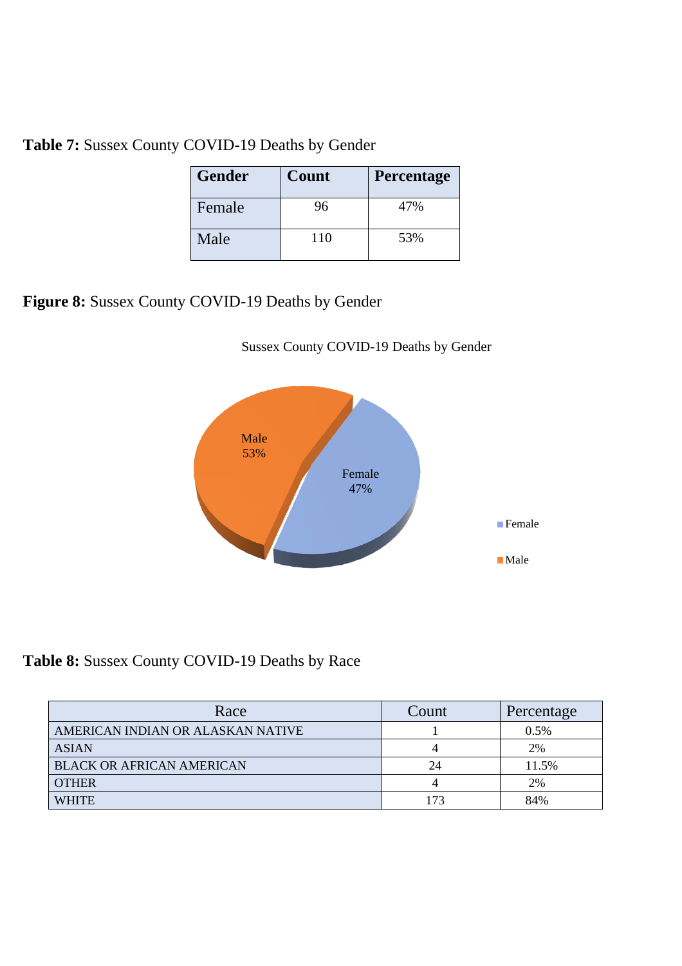**Table 7:** Sussex County COVID-19 Deaths by Gender

| <b>Gender</b> | Count | Percentage |
|---------------|-------|------------|
| Female        | 96    | 47%        |
| Male          | 110   | 53%        |

**Figure 8:** Sussex County COVID-19 Deaths by Gender





**Table 8:** Sussex County COVID-19 Deaths by Race

| Race                              | Count | Percentage |
|-----------------------------------|-------|------------|
| AMERICAN INDIAN OR ALASKAN NATIVE |       | 0.5%       |
| <b>ASIAN</b>                      |       | 2%         |
| <b>BLACK OR AFRICAN AMERICAN</b>  | 24    | 11.5%      |
| <b>OTHER</b>                      |       | 2%         |
| <b>WHITE</b>                      | 173   | 84%        |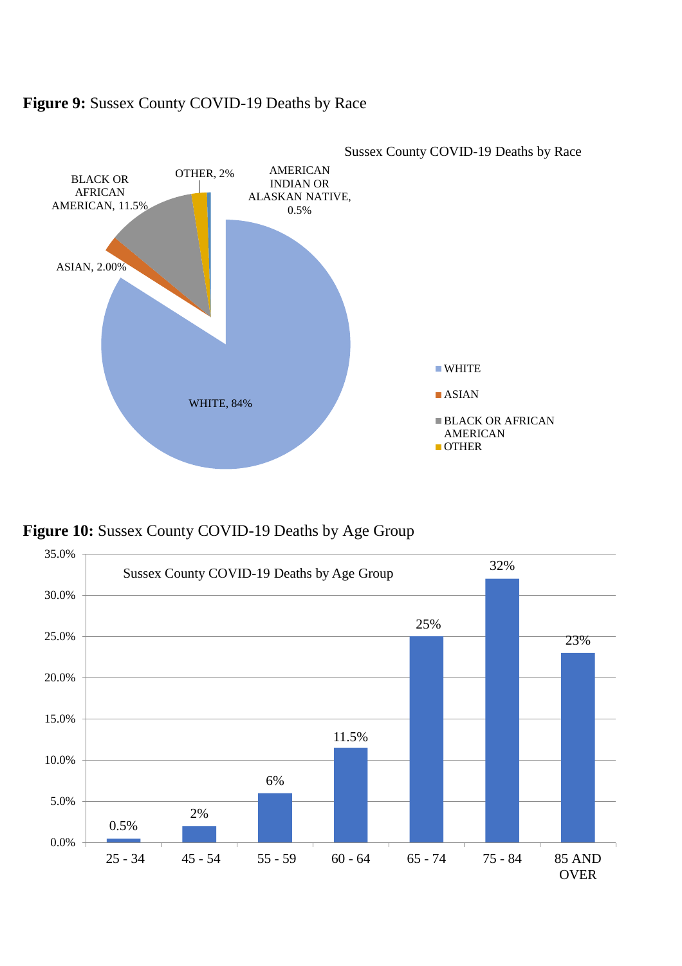

#### **Figure 9:** Sussex County COVID-19 Deaths by Race

**Figure 10:** Sussex County COVID-19 Deaths by Age Group

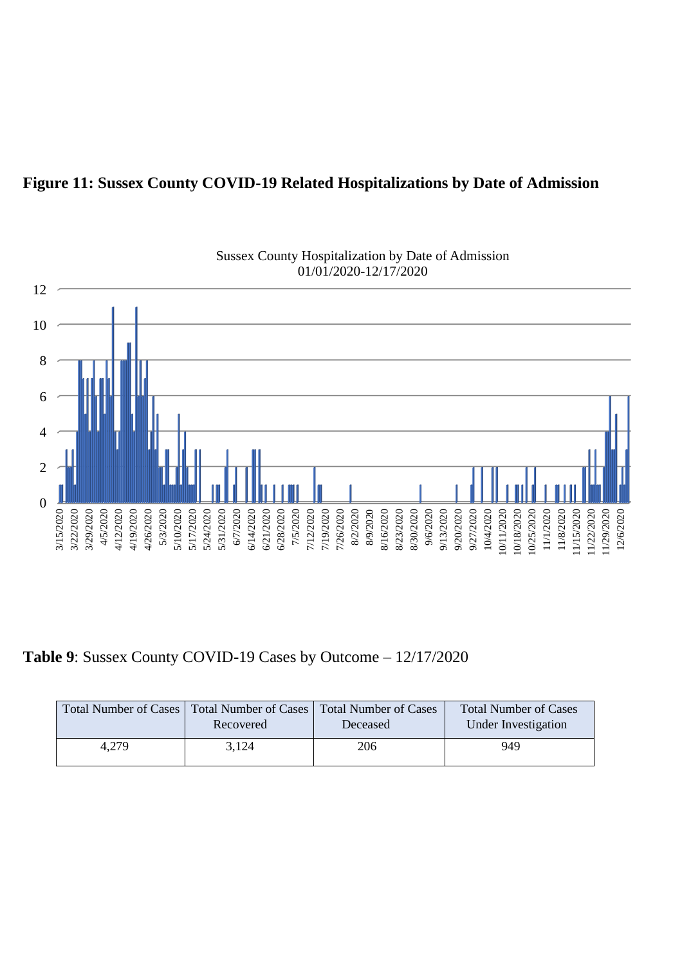#### **Figure 11: Sussex County COVID-19 Related Hospitalizations by Date of Admission**



# Sussex County Hospitalization by Date of Admission

**Table 9**: Sussex County COVID-19 Cases by Outcome – 12/17/2020

|       | Total Number of Cases   Total Number of Cases   Total Number of Cases<br>Recovered | Deceased | <b>Total Number of Cases</b><br>Under Investigation |
|-------|------------------------------------------------------------------------------------|----------|-----------------------------------------------------|
| 4,279 | 3,124                                                                              | 206      | 949                                                 |